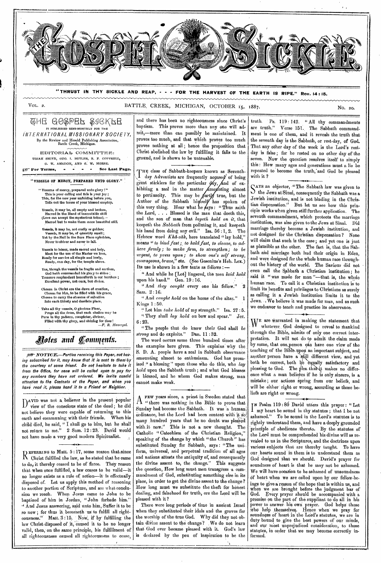

**"THRUST IN THY SICKLE AND REAP, - - - FOR THE HARVEST OF THE EARTH IS RIPE." Rev. 14:15.** 

VOL. 2. BATTLE, CREEK, MICHIGAN, OCTOBER 15, 1887.

GHE GOSPER SIGKFE IS PUBLISHED SEMI-MONTHLY FOR THE *INTERNATIONAL MISSIONARY SOCIETY,*  By the Review and Herold Publishing Association, Battle Creek, Michigan.

EDITORIAL> COMMITTEE: URIAH SMITH, GEO. I. BUTLER, R. F. COTTRELL, O. W. AMADON, AND O. W. MORSE;

gy<sup>\*</sup> For Terms, - - - - See Last Page.

" VESSELS OP MERGE, PREPARED UNTO GLORY."

" Vitessra of mercy, prepared unto glory !" This is your calling and this Is your Joy ; This, for the new year unfolding before you, Tolls out the terms of your blessed employ.

Vessels, it may be, all empty and broken,<br>Marred in the Hand of inscrutable skill<br>(Love can accept the mysterious token),—<br>Marred but to make them more beautiful still,

Vessels, it may be, not costly or golden; Vessels, It may be, of quantity small ; Yet *by* the Nail in the Sure Place upholders, Never to shiver and never to fall.

Vessels to honor, made sacred and holy, Meet for the use of the Master we love, Ready for service all simple and lowly, Ready, one day, for the temple above.

Yes, though the vessels be fragile and earthen, God bath commanded his glory to shine *;*  Treasure resplendent henceforth is our hurthen ; Excellent power, not ours, but divine.

Chosen in Christ ere the dawn of creation, Chosen for him, to be filled with his grace, Chosen to carry the streams of salvation Into each thirsty and desolate place,

Take all thy vessels, O glorious Fluer,<br>
Purge all the dross, that each chalice may be<br>
Pure in thy pattern, completer, diviner,<br>
Filled with thy glory, and shining for thee !<br> *—F. R. Havergal.* 

# *Aotes and Comments.*

per NOTICE.-Parties receiving this Paper, not hav*ing subscribed for it, may know that it is sent to them:by the courtesy of some friend. Oo not hesitate to take it from the Office, for none will be called upon to pay for any numbers they have not ordered. We invite candid attention to the Contents of the Paper, and when you have read it, please hand it to a Friend or Neighbor.* 

D<sup>AVID</sup> was not a believer in the present popular<br>D view of the conscious state of the dead; he did view of the conscious state of the doad ; he did not believe they were capable of returning to this earth and communing with their friends. When his earth and communing with their friends. child died, he said, " I shall go to him, but he shall not return to me." 2 Sam. 12 :23: David would not have made a very good modern Spiritualist.

EPERRING to Matt. 5 : 17, some reason that;since A. Christ fulfilled the law, as he stated that he came to  $d_{0,j}$  it thereby ceased to be of force. They reason that when once fulfilled, a law ceases to be valid—it no longer exists as a rule of action--- it is effectually disposed of. Let us apply this method of reasoning to another portion of Scripture, and see what conclusion we reach. When Jesus came to John to be baptized of him in Jordan, "John forbade him." And Jesus answering, said unto him, Suffer it to be so now; for thus it becometh us to fulfill all righteousness,"' Matt. 3 :45, Now, if by' fulfilling the law Christ disposed of it, caused it to be no longer valid, then, on the same principle, his fulfillment of all righteousness caused all righteousness to cease,

and there has been no righteousness since Christ's baptism. This proves more than any one will adnit,—more than can possibly be maintained. It proves too much, and that which proves too much proves nothing at all; hence the proposition that Christ abolished the law by fulfilling it falls to the ground, and is shown to be untenable.

as Seventh-THE class of Sabbath-keepers known as Seventh-<br>I day Adventists are frequently accused of being great sticklers for the particular  $\partial Ay$ , and of exnting almost true, but the has spoken of this very thing. Hear what he  $\beta$ ays : "Thus saith the Lord, . . . Blessed is the man that doeth this, and the son of man that *layeth hold on it,* that keepeth the *Sabbath* from polluting it, and keepeth his hand from doing any evil." Isa. 56 :1, 2. The Hebrew word *Kha-zale*, here translated "lay hold," means " to bind fast; to hold fast, to cleave, to ad*here firmly; io make firm, to strengthen; to be urgent, to press upon; to show one's self strong,*  courageous, brave," etc. (See Gesenius's Heb. Lex.) Its use is shown in *a* few texts as follows : day Adventists are frequently hibiting a zeal in the matter to pertinacity. This may be Author of the Sabbath hi

" And while he [Lot] lingered, the men *laid hold*  upon his hand." Gen. 19 :16.

" And *they caught* every one his fellow." ൎ2 Sam. 2 :16..

" And *caught hold* on the horns of the altar." Kings 1 : 50.

" Let him *take hold* of my strength." Isa. 27 : 5. " They shall *lay hold* on bow and spear." Jer. 6 : 23.

" The people that .do know their God shall *be strong* and do exploits." Dan. 11 : 32.

The word occurs some three hundred times after the examples here given. This explains' why the S. D. A. people have a zeal in Sabbath observance amounting almost to enthusiasm, God has promised ." a blessing " upon those Who do this, who *lay hold* upon the Sabbath truth ; and what God blesses is blessed, and he whom God makes strong, man cannot make weak.

A FEW years since, a priest in Sweden stated that " there was nothing in the Bible to prove that Sunday had become the Sabbath. It was 'a human ordinance, but the Lord had been content with it so many hundred years that he no doubt was pleased with it now." This is not a new thought. The Catholic " Catechism of the Christian Religion," speaking of the change by which "the Church" has substituted Sunday for Sabbath, says : "The uniform, universal, and perpetual tradition of all ages and nations attests the antiquity of, and consequently the divine assent to, the change." This suggests the question, How long must men transgress -a cominandment of God, substituting something else in its place, in order to get the divine assent to the change? How long must we substitute the theft for honest dealing, and falsehood for truth, ere the Lord will be pleased with it ?

There were long periods of time in ancient Israel when they substituted their idols and the groves for the worship of the true God. Why did they not obtain divine assent to the change? We do not learn that God ever became pleased with it. God's law is declared by the pen of inspiration to be the

truth. Ps. 119:142. "All thy commandments<br>are truth." Verse 151. The Sabhath command. Verse 151. The Sabbath commandment is one of them, and it reveals the truth that the seventh day is the Sabbath, or rest-day, of God. That any other day of the week is the Lord's restday is false ; for he rested on no other day of the seven. Now the question resolves itself to simply this : How many ages and generations must a lie be repeated to become the truth, and God be pleased with it ?

Sars an objector, "The Sabbath law was given to<br>Some Jews at Sinai, consequently the Sabbath was a AYS an objector, ." The Sabbath law was given to Jewish institution, and is not binding in the Christian dispensation." But let us see how this principle works when given still further application. The seventh commandment, which protects the marriage institution, was also given to the Jews at Sinai. Did marriage thereby become a Jewish institution, and not designed for the Christian dispensation ? None will claim that such is the case; and yet one is just as plausible as the other. The fact is, that the Sabbath and marriage both had their origin in Eden, and were designed for the whole human race throughout the history of the world. The Saviour did not even call the Sabbath a Christian institution ; he said it "was made for man "---that is, the whole human race. To call it a Christian institution is to limit its benefits and privileges to Christians as surely as calling it a Jewish institution limits it to the Jews.  $\sqrt{W}$ e believe it was made for man, and as such we endeavor to teach and practice its observance.

UTE are warranted in making the statement that YV whatever, God designed to reveal to rhankind through the Bible, admits of only one correct interpretation. It will not do to admit the claim made by some, that one person can have one view of the teaching of the Bible upon an important subject, and another person have a 'still different view, and yet both be correct, both  $b^6$  equally satisfactory and pleasing to God. The plea that it makes no difference what a man believes if he is only sincere, is a mistake ; our actions spring from our beliefs, and will be either' right or wrong, according as those beliefs are right or wrong.

<sup>T</sup>N Psalm 119 : 8d David utters this prayer : " Let I my heart be sound in thy statutes ; that I be not ashamed." To be sound in the Lord's statutes is to rightly understand them, and have a deeply grounded principle of obedience thereto. By the statutes of the Lord must be comprehended his divine will as revealed to us in the Scriptures, and the doctrines upon various subjects that are thereby taught. To have our hearts sound in them is to understand them as God designed that we should. David's prayer for soundness of heart is that he may not be ashamed, We will have occasion to be ashamed of unsoundness of heart when we are called upon by our fellow-beings to give a reason of the hope that is within us, and when we are brought before the judgment bar of God. Every prayer should be accompanied with a promise on the part of the suppliant to do all in his power to answer. his own prayer. God helps' those Who.help ,themselves. Hence when we pray for soundness of heart in the Lard's statutes, we are in duty bound to. give the best powers of our minds, and our most unprejudiced consideration, to those statutes, in order that we may become correctly informed.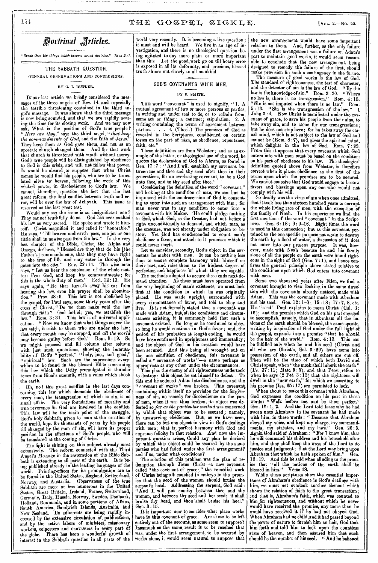*Poctrinal Articles.* 

*"Speak thou the things which become sound doctrine," Titus 2 IT* 

THE SABBATH QUESTION.

GENERAL OBSERVATIONS AND CONCLUSIONS,

### BY G. I. BUTLER.

In our last article we briefly considered the messages of the three angels of Rev. 14, and especially the terrible threatening contained in the third angel's message. It was shown that the third message is now being sounded, and that we are rapidly nearing the time for its closing work. And we may now ask, What is the position of God's true people ? *" Here are they,"* says the third angel, " *that keep the commandments of God,* and the faith of Jesus." They keep them as God gave them, and not as an apostate church changed them. And for that work that church is threatened with wrath without mercy. God's true people will be distinguished by obedience to God in this crisis, and will not follow that power. It would be absurd ,to suppose that when Christ comes he would find his people, who are to be translated alive to' heaven, following the work of this wicked power, in disobedience to God's law. We cannot, therefore, question the fact that the last great reform, the final conflict between truth and error, will be over the law of Jehovah. This issue is reserved as the last great test.

Would any say the issue is an insignificant one ? They cannot truthfully do so. God has ever exalted his law as very sacred. He spoke and wrote it himself. Christ magnified it and called it " honorable." He says, "Till heaven and earth pass, one jot or one tittle shall in nowise pass from the law." In the very last chapter of the Bible, Christ, the Alpha and Omega, declares, " Blessed are they, that do his [the Father's] commandments, that they may have right to the tree of life, and may enter in through the gates into the city." Rev.  $22:14$ . The wise man says, "Let us hear the conclusion of the whole matter : Fear God, and keep his commandments ; for this is the whole duty of man." Eecl. 12 :13. He *says* again, " He that turneth away his ear from hearing the law, even his prayer shall be abomination." Prov. 28 :9. This law is not abolished by tion." Prov. 28:9. This law is not abolished by the gospel, for Paul says, some thirty years after the cross of Christ, "Do we then make void the law through faith? God forbid; yea, we establish the law." Rom. 3:31. This law is of universal application. " Now we know that what. things soever the law saith, it saith to them who are under the law; that every mouth may be stopped, and *all the world*  may become guilty before God." Rom. 3 :19. So we might proceed and fill column after column with just such quotations, showing the immutability of God's " perfect," " holy, just, and good," "spiritual" law. Such are the expressions everywhere to be found in the blessed Bible concerning this law which the Deity promulgated in thunder tones from Sinai's summit, with a voice which shook the earth.

Oh, no I this great conflict in the last days concerning this law which demands the obedience of every man, the transgression of which is sin, is no small affair. The very foundations of morality and true reverence for God are involved in the conflict. This law will be the main point of the struggle. God's holy Sabbath, given to man at the creation of the world, kept for thousands of years by his people the world, kept for thousands of years by his people till changed by the man of sin, will have its proper position in the affections of God's people, who will be translated at the coming of Christ.

The light is shining on this subject already most extensively. The reform connected with the Third Angel's Message in the restoration of the Bible Sabbath is extending to all parts of the earth. It is being published already in the leading languages of the world. Printing-offices for its promulgation are to world. Printing-offices for its promulgation are to be found in the United States, England, Switzerland, Norway, and Australia. Observances of the true Sabbath are more or less numerous in the United States, Great Britain, Ireland, France, Switzerland, Germany, Italy, Russia, Norway, Sweden, Dentark, Holland, Roumania, and in some portions of Africa, South America, Sandwich Islands, Australia, and New Zealand. Its adherents are being rapidly' increased by the extensive circulation Of, publications, and by the active labors of ministers, missionary workers, colporters and canvassers in every part of the globe. There has been a wonderful growth of interest in the Sabbath question in all parts of the

world very recently. It is becoming a live question ; it must and will be heard. We live in an age of investigation, and there is no theological question being agitated to-day more plain or more important than this. Let the good work go on till hoary error is exposed in all its deformity, and precious, blessed truth shines out clearly to all mankind. •

## GOD'S COVENANTS WITH MEN.

### BY U. SMITH.

THE word "covenant" is used to signify, "1. A mutual agreement of two or more persons or parties, in writing and under seal to do, or to refrain from, some act or thing; a contract; stipulation. 2.  $\vec{A}$ writing containing the terms of agreement between parties. . . . 4. (Theol.) The promises of God as revealed in the Scriptures, conditioned on certain terms on the part of man, as obedience, repentance, faith, etc."

These definitions are from Webster ; and as an example of the latter, or theological use of the word, he quotes the declaration of God to Abram, as found in Gen. 17 : 7 : " And I will establish my covenant between me and thee and thy seed after thee in their generations, for an everlasting covenant, to be a God unto thee, and to thy seed after thee."

Considering the definition of the word " covenant, and looking at the condition of man, we can but be impressed with the condescension of God in consenting to enter into such an arrangement with him ; for man never was in any condition to enter into a covenant with his Maker. He could pledge nothing to God, which God, as the Creator, had not before a right unconditionally to demand, and which man, as the creature, was not already under obligation to be-<br>stow. Yet God has condescended to count man's Yet God has condescended to count man's obedience a favor, and attach to it promises which it could never merit.

Let us consider, secondly, God's object in the covenants he makes with men. It can be nothing less than to secure complete harmony with himself on their part, and raise them to the highest degree of perfection and happiness of which they are capable.

The methods adopted to secure these ends next demand attention. As these must have operated from the very beginning of man's existence, we must'look first at the condition in which he was originally placed. He was made upright, surrounded with every circumstance of favor, and told to obey and live. It is not formally stated that a covenant was made with Adam, but, all the conditions and circumstances existing, it is commonly held that such covenant existed. So long as he continued to obey, so long he would continue in God's favor; and, the period of his probation at length ending, he would period of his probation at length ending, have been confirmed in uprightness and immortality; and the object of God in his creation would have been secured. And this being all wrought out on the one condition of obedience, this covenant is called a " covenant of works "—a name perhaps as appropriate as any other under the circumstances.

This plan the enemy of all righteousness undertook to destroy; this object he set himself to defeat. this end he seduced Adam into disobedience, and the " covenant of works " was broken. This covenant, containing within itself no provision for the forgiveness of sin, no remedy for disobedience on the part of man, when it was thus broken, its object was defeated *so far as the particular method* was concerned by which that object was to be secured; namely, by unswerving obedience. But, as we have seen, there can be but one object in view in God's dealings with men; that is, perfect harmony with God and supreme felicity in that relation. And now the important question arises, Could any plan be devised by which this object could be secured by the same parties who had failed under the first arrangement? and if so, under what conditions?

The solution of this problem was the plan of redemption through Jesus Christ—a new covenant called "the covenant of grace ; " the remedial work of Christ being all couched in embryo in the promise that the seed of the woman should bruise the serpent's head. Addressing the serpent, God said : "And I will put enmity between thee and the woman, and between thy seed and her seed; it shall bruise thy head, and thou shalt bruise his heel." Gen.  $3:15$ .

It is important now to consider what place works have in this covenant of grace. Are these to be left entirely out of the account, as some seem to suppose? Inasmuch as the same, result *is* to be reached that was, under the first arrangement, to be secured by works alone, it would seem natural to suppose that

the new arrangement would have some important relation to them. And, further, as the only failure under the first arrangement was a failure on Adam's part to maintain good works, it would seem reasonable to conclude that the new arrangement, being designed to remedy the failure of the first, should

make provision for such a contingency in the future. The measure of good works is the law of God. The standard of righteousness, the test of character, and the detector of sin is the law of God. "By the law is the knowledge of sin." Rom. 3 : 20. " Where no law is, there is no transgression." Rom. 4 :15. " Sin is not imputed when there is no law." Rom. 5 : 13. " Sin is the transgression of the law." 1 John 3 :4. Now Christ is manifested under the covenant of grace, to save his people from their sins, to take away sin, and to atone for our transgressions ; but he does not stop hare; for he takes away the carnal mind, which is not subject to the law of God and *cannot* be (Rom. 8 :7), and gives the spiritual mind, which delights in the law of God. Rom. 7 : 22. From this it appears that every covenant which God enters into with men must be based on the condition on his part of obedience to his law. The theological definition quoted above from Webster, is therefore correct when it places obedience as the first of the terms upon which the promises are to be secured. We cannot conceive that God would engage to bestow favors and blessings upon any one who would not comply with his will.

So deadly was the virus of sin when once admitted, that it took less than sixteen hundred years to corrupt the whole living race of men, with the exception of the family of Noah. In his experience we find the first mention of the word " covenant " in the Scriptures. Gen. 6 :18 ; 9 : 9-16. Eight times the word is used in this connection ; but as this covenant pertained to the one specific purpose not again to destroy the earth by a flood of water, a discussion of it does not enter into our present purpose. It was, however, made with Noah because he and his family alone of all the people on the earth were found righteous in the sight of God (Gen. 7 :1), and hence confirms the general principle above stated relative to the conditions upon which God enters into covenant with men.

Some two thousand years after Eden, we find a covenant brought to view looking in the same direction with the covenants already noticed, made with Adam. This was the covenant made with Abraham and his seed. Gen. 12:1-3; 15:18; 17:7, 8, etc. His "seed" Paul explains to mean Christ (Gal. 3: 16) ; and the promise which God on his part engaged to accomplish, namely, that in Abraham all the nations of the earth should be blessed, the same apostle, writing by inspiration of God under the full light of the gospel, expands into a promise "that he should be the heir of the world." Rom. 4 :13. This can be fulfilled only when he and his seed (Christ and all who are Christ's, Gal. 3 :29) have come into possession of the earth, and all others are cut off. Then will be the time of which both David and Christ speak, when "the meek shall inherit the earth " (Ps. 37 :11; Matt. 5 : 5), and that Peter refers to when he *says* (2 Pet. 3 :13) that the righteous will dwell in the "new earth," for which we according to his promise (Isa, 65 :17) are permitted to look.

When about to make this covenant with Abraham, God expresses the condition on his part in these words : " Walk before me, and be thou perfect." Gen.  $17:1$ , 2. And the Lord told Isaac why he had sworn unto Abraham in the covenant he had made with him, in these words : " Because that Abraham obeyed my voice, and kept my charge, my commandments, my statutes, and my laws." Gen. 26 :5. Again God said of Abraham: " For I know him, that he will command his children and his household after him, and they shall keep the ways of the Lord to do justice and judgment; that the Lord may bring upon Abraham that which he hath spoken of him." Gen. 18 :19. And this he said when alluding to the promise that •" all the nations of the earth shall 'be blessed in him," Verse 18.

While these scriptures show the essential importance of Abraham's obedience in God's dealings with him, we must not overlook another element which shows the relation of faith to the great transaction; and that is, Abraham's faith, which was counted to him for righteousness, and without which he never would have received the promise, any more than he would have received it if he had not obeyed God. When Abraham had no child, and it had passed beyond the power of nature to furnish him an heir, God took him forth and told him to look upon the countless stars of heaven, and then assured him that such should be the number of his seed. "And he believed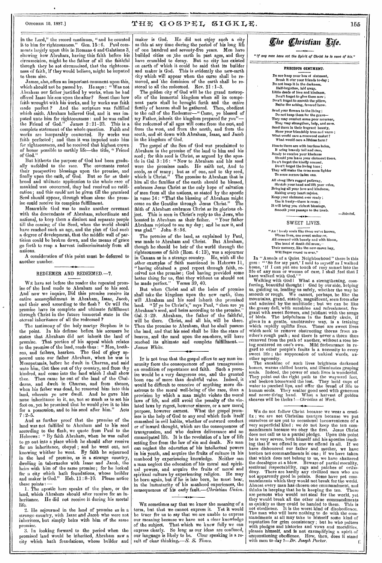## OOTOBER 15, 1887.]  $\mathbf{THE}$   $\mathbf{GOSPEL}$   $\mathbf{SLGKLE}$ . 156

in the Lord," the record continues, " and he counted it to him for righteousness." Gen. 15 : 6. Paul comments largely upon this in Romans 4 and Galatians 3, showing how Abraham, having this faith before his circumcision, might be the father of all the faithful though they be not circumcised, that the righteousness of faith, if they would believe, might be imputed to them also.

James, also, offers an important comment upon this, which should not be passed by. He says : " Was not Abraham our father justified by works, when he had offered Isaac his son upon the altar? &est thou how faith wrought with his works, and by works was faith made perfect ? And the scripture was fulfilled which saith, Abraham believed God, and it was imputed unto him for righteousness : and he was called<br>the Friend of God." James  $2:21-23$ . This is a the Friend of God." James 2 : 21-23. This is a complete statement of the whole question. Faith and works are inseparably connected. By works was faith perfected ; and then it was imputed unto him for righteousness, and he received that highest crown of honor possible to earthly life-the title, " Friend of God."

But hitherto the purpose of God had been gradually unfolded to the race. The covenants rested their prospective blessings upon the promise, and finally upon the oath, of God. But so far as their broad and ultimate application to the whole race of mankind was concerned, they had received no ratification; and this could not be given till the promised Seed should appear, through whom alone the promise could receive its complete fulfillment,

Meanwhile God was to make another covenant with the descendants of Abraham, subordinate and national, to keep them a distinct and separate people till the coming of the Seed, when the world should have reached such an age,.and the plan of God such a degree of development, that the middle wall of partition could be broken down, and the means of grace go forth to reap a harvest indiscriminately from all nations.

A consideration of this point must be deferred to another number.

### REDEEMER AND REDEEMED.-7.

WE have set before the reader the repeated promise of the land made to Abraham and to his seed. And' now we inquire, Did this promise receive its entire accomplishment in Abraham, Isaac, Jacob, and their seed according to the flesh ? Or will the promise have its complete and ultimate fulfillment through Christ in the future immortal. state in the eternal inheritance of all the redeemed ?

The testimony of the holy martyr Stephen is to the point. In his defense before. his accusers lie states that Abraham did not inherit the land of promise. That portion of his appeal which relates to the promise of the land, reads thus : " Men, brethren, and fathers, hearken. The God of glory appeared unto our father Abraham, when he was in Mesopotamia, before he dwelt in Charran, and said unto him, Get thee out of thy country, and from thy kindred, and come into the land which I shall show thee. Then came he out of the land of the Chaldeans, and dwelt in Charran, and from thence, when his father was dead, he removed him into this land, wherein ye now dwell. And he gave him none inheritance in it, no, not so much as to set his foot on, yet he promised that he would give it to him for a possession, and to his seed after him." Acts  $7:2-5.$ 

And as further proof that the promise of the land was not fulfilled to Abraham and to his seed according to the flesh, we quote from Paul to the Hebrews: "By faith Abraham, when he was called to go out into a place which he should after receive for an inheritance, obeyed ; and he went out, not knowing whither he went. By faith he sojourned in the land of promise, as in a strange country, dwelling in tabernacles with Isaac and Jacob, the heirs with him of the same promise; for he looked for a city which bath foundations, whose builder and maker is God." Heb. 11 : 8-10. Please notice

these points ; 1. The apostle here speaks of the place, or the land, which Abraham should after receive for an inheritance. He did not receive it during his mortal life.

2. He sojourned in the land of promise as in a strange country, with Isaac and Jacob who were not inheritors, but simply heirs with him of the same promise.

3. In looking forward to the period when the promised land would be inherited, Abraham saw a city which bath foundations, whose builder and

maker is God. He did not enjoy such a city as this at any time during the period of his long life of one hundred and seventy-five years. Men have builded cities on the earth in past ages, and they have crumbled to decay. But no city has existed on earth of which it could be said that its builder and maker is God. This is evidently the new-earth city which will appear when the curse shall be removed, and 'the dominion of the earth shall be restored to all the redeemed. Rev. 21 :1-3.

The golden city of God will be the grand metropolis of the immortal kingdom when all its component parts shall be brought forth and the entire family of heaven shall be gathered. Then, obedient to the call of the Redeemer—" Come, ye blessed of my Father, inherit the kingdom prepared for you" the redeemed of all ages will come from the east, and from the west, and from the north, and from the south, and sit down with Abraham, Isaac, and Jacob in the kingdom of God.

The gospel of the Son of God was proclaimed to Abraham in the promise of the land to him and his seed ; for this seed is Christ, as argued by the apostle in Gal. 3 :16 : " Now to Abraham and his seed were the promises made. He saith not, And to seeds, as of many; but as of one, and to thy seed, which is Christ." The promise to Abraham that in him all the families of the earth should he blessed, embraces Jesus Christ as the only hope of salvation of men from all the nations, as stated by the apostle in verse 14: "That the blessing of Abraham might come on the Gentiles through Jesus Christ." The faith of Abraham embraces Christ as its glorious object. This is seen in Christ's reply to the Jews, who boasted in Abraham as their father, "Your father Abraham rejoiced to *see* my day; and he saw it, and was glad." John. 8 :56.

The promise of the land, as explained by Paul, was made to Abraham and Christ. But Abraham, though he should be heir of the world through the righteousness of faith (Horn. 4 : 13), was a sojourner in Canaan as in a strange country. He, with all the other examples of faith mentioned in Hebrews 11, " having obtained a good report through faith, received not the promise; God having provided some better thing for us, that they without us should not be made perfect." Verses 39,40.

But when Christ and all the heirs of promise shall take the kingdom upon the new earth, then will Abraham and his seed inherit the promised land. "If ye be Christ's," says Paul, " then are ye Abraham's seed, and heirs according to the promise." Gal. 3 :29. Abraham, the father of the faithful, will be there. Christ, and all his, will be there. Then the promise to Abraham, that he shall possess the land, and that his seed shall be like the stars of heaven, and the sand upon the sea-shore, will have reached its ultimate and complete fulfillment. *— James White.* 

IT is not true that the gospel offers to any man immunity from the consequences of past transgression on condition of repentance and faith. Such a promise would be a very dangerous one, and the granted boon one of more. than doubtful value. Indeed, it would be difficult to conceive of anything more disastrous to the moral well-being of the race, than a provision by which a man might violate the moral laws of life, and still avoid the penalty of the vio-. laced laws by regret, however sincere, or a new moral purpose, however earnest. What the gospel promises is the help of God to any soul which finds itself enmeshed in evil habits, whether of outward conduct or of inward thought, which are the consequences of transgression, and who desires deliverance and an emancipated life. It is the revelation of a law of life setting free from the law of sin and death. No man can neglect the education of his intellectual powers in his youth, and acquire the fruits of culture in his manhood by experiencing knowledge. Neither can a man neglect the education of his moral and spiritual powers, and acquire the fruits of moral and spiritual culture by experiencing religion. He may be horn again, but if he is late born, he must bear, in the immaturity of his manhood experiences, the consequences of his early *fault.—Christian Union.* 

WE sometimes say that we know the meaning of a<br>m, but that we cannot express it. Yet it would term, but that we cannot express it. be truer for us to say that we are unable to express our meaning because we have not a clear knowledge of the subject. That which we know fully we can express clearly. So long as our ideas are confused, our language is likely to be. Clear speaking is a result of clear thinking.—S. *S. Times.* 

# *<i>Che Christian Life.*

*"If any man have not the Spirit of Christ he is none of his,"* 

#### PRECIOUS OINTMENT.

Do Nor keep your box of ointment,<br>Break it o'er your friends to-day ;<br>Do not keep it in the darkness,<br>Half-forgotten, laid away.<br>Little deeds of love and kindness, Don't forget to give them now ; Do n't forget to smooth the pillow Bathe the aching, fevered brow.

Send your flowers to the living ; Do not keep there for the grave— They may comfort some poor mourner, They may strengthen, help, and save. Send them In their fragrant beauty, Show your friendship true and warm ; What would care a rosewood casket ? What would care a lifeless form ?

Hearts there are with burdens laden,<br>B aring bravely toil and eare,<br>Ready to receive your kindness<br>Should yon leave your olntment there,<br>Don't forget the kindly counsel,<br>Don't forget the loving tone ;<br>They will make the cr

All along life's rugged pathway, Stretch your hand and lift your voice, Bringing all your love and kindness, Making every heart rejoice.<br>Keep your olntment ever ready ;<br>Use it freely—there is room ;<br>It will bring you richest blessings,<br>Smooth your passage to the tomb.

• 10

## SWEET LIVES.

*—Selected.* 

"An ! lovely souls like those we've known,<br>Whose lives, one sweet endea or,<br>All crowned with beauty and with bloom,<br>The hand of death did sever,---<br>Their memory, like the new-mown hay, Will linger round us ever."

In "Annals of a Quiet Neighborhood " there is this gem : " 'So for my part,' I said to myself as I walked home, ' if I can put one touch of rosy sunset into the life of any man or woman of care, I shall ,feel that I have walked with God.' "

Walking with God I What a strengthening, comforting, beautiful thought I - God by our side, helping us, guiding us, leading us safely, whether the way be smooth or rough. We cannot, perhaps, be like the mountains, grand, stately, magnificent, seen from afar and admired by the multitude ; but we can be like the grassy dell, with sunshine and refreshment, fragrant with sweet flowers, and jubilant with the songs of birds. The helpfulness in the. family circle, if given in a gentle, unobtrusive way, is a training which rapidly uplifts lives. Those are sweet lives which seek' to remove obstructing thorns from another's rough path ; and there is never a thorn thus removed from the path of another, without a rose being scattered on one's own. Mild forbearance in regard to other people's faults is a necessity to every sweet life; the suppression of unkind words, an-<br>other necessity.

The sunshine of such lives brightens darkened homes, warms chilled hearts, and illuminates groping souls. Indeed, the power of such lives is wonderful. They point out the right path to the wayward feet, and beckon homeward the lost. They hold cups of water to parched lips, and offer the bread of life to human souls. They scatter good seed with generous and never-tiring hand. What a harvest of golden sheaves will be theirs *!—Ohristian at Work.* 

WE do not follow Christ because we wear a crucifix ; we are not Christian martyrs because we put ourselves or are put to occasional inconvenience of a very superficial kind ; we do not keep the ten commandments because we obey the first. Jesus Christ does not call us to a partial pledge. Upon this point he is very severe, both himself and his apostles teach-ing that if we offend in one we offend in all. If we have dishonored our father and mother, we have broken ten commandments in one ; if we have taken that which does not belong to us, we have shattered the decalogue at a blow. Beware of partial morality, sectional respectability, rags and patches of orthodoxy. There are hardly any civilised men who are not apparently good in points. Some have pet commandments which they would not break for the world. Almost every man has chosen one commandment, and thinks in keeping that he is keeping the ten. There are persons who would not steal for the world, yet they would break all the other nine commandments as quickly as they could be handed to them. This is not obedience. It is the worst kind of disobedience.<br>The man who will have nothing to do with the commandfnents at all may take to himself some kind of reputation for grim consistency ; but lie who palters with pledges and histories and vows and moralities, pleases himself, and is not exemplifying a spirit of unquestioning obedience. How, then, does it stand with men to-day *?---Dr. Joseph Parker.* È.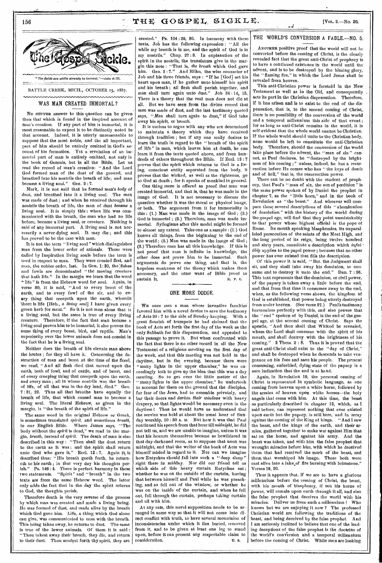## THE GOSPEL SIGKLE.



# WAS MAN CREATED IMMORTAL ?

No BETTER answer to this question can be given than that which is found in the inspired account of man's creation. If any part of him is immortal, it is most reasonable to expect it to be distinctly noted in that account. Indeed, it is utterly unreasonable to suppose that the most noble, and the all important, part of him should be entirely omitted in God's account of his formation, Yet a revelation of an immortal part of man is entirely omitted, not only in the book of Genesis, but in all the Bible. Let us read the record of man's creation: " And the Lord God formed man of the dust of the ground, and breathed into his nostrils the breath of life; and man became a living soul." Gen. 2 : 7.

Mark, it is not said that lie formed man's *body* of dust, and breathed into it a living soul, The *man*  was made of dust ; and when he rdceived through his nostrils the breath of life, the man of dust *became* a living soul. It is simply this : when life was communicated with the breath, the man who had no life before, became a living soul, or creature. Nothing is said of any immortal part. A living soul is not necessarily a never-dying soul. It may die ; and this has proved to be the case with man.

It is not the term " living soul" which distinguishes man from the lower order of animals. These were called by Inspiration living souls before the term is used in respect to man. They were created first, and man, the nobler order, last. In Gen.  $1:20$ , the fishes and fowls are denominated "the moving creature that liath life."- In the margin we learn that the word "life" is from the Hebrew word for soul. Again, in verse 30, it is said, "And to every beast of the earth, and to every fowl of the air, and to every thing that creepeth upon the earth, wherein 'there is life [Hob., *a living soul]* I have given every green herb for meat." So it is not man alone that is a living soul, but the same is true of every living Therefore, if the fact that man became living soul proves him to be immortal, it also proves the same thing of every beast, bird, and reptile. Man's superiority over the lower animals does not consist in the fact that he is a living, soul.

Neither does the breath of life elevate man above the brutes ; for they all have it. Concerning the destruction of man and beast at *the* time of the flood, we read, "And all flesh died that moved upon the earth, both of fowl, and of cattle, and of beast, and of every creeping thing that creepeth upon the earth, and every man ; all in whose nostrils was the breath of life, of all that was in the dry land, died."  $7:21$ , 22. Thus all that breathe have equally the breath of life, that which caused man to become a living soul. The literal Hebrew, as given in the margin, is "the breath of the spirit of life,"

The same word in the original Hebrew or Greek, is sometimes translated *spirit,* and sometimes *breath,*  in our English Bible. Where James says, "The body without the *spirit* is dead," we read in the' margin, *breath,* instead of *spirit.* The death of man is also described in this way : "Then shall the dust return to the earth as it was ; and the ,spirit shall return unto God who gave it." Eccl. 12:7. Again it is described thus: "His breath goeth forth, he returneth to his earth; in that very day his thoughts per-<br>ish." Ps. 146:4. There is perfect harmony in these ish." Ps. 146 : 4. There is perfect harmony in these "Spirit" and "breath" in the two texts are from the same Hebrew word. The latter only adds the fact that in the day the spirit returns to God, the thoughts perish.

Therefore death is the very reverse of the process by which man was created and made a living being. He was formed of dust, and made alive by the breath which God gave him. Life, a thing which God alone can give, was communicated to man with the breath. This being taken away, he returns to dust. The same is true of the lower animals. Of them it is said : "Thou takest away their breath, they die, and return to their dust. Thou sendest forth thy spirit, they are

created." Ps. 104 : 29, 30. In harmony with these texts, Job has the following expression : "All the while my breath is in me, and the spirit of God *is* in my nostrils." Chap. 27 : 8. In explanation of the spirit in the nostrils, the translators give in the margin this note : "That is, *the breath* which God gave Gen. 2:7." And Elihu, the wise counselor of Job and his three friends, *says : "If* he [God] set his heart upon man, if he gather unto himself his spirit and his breath ; all flesh shall perish together, and man shall turn again unto dust." Job 34: 14, 15. There is a theory that the real man does not die at all. But we have seen from the divine record that man was made of dust, and the last testimony quoted says, *"Man* shall turn again to dust," if God take away his spirit, or breath.

It is useless to argue with any who are determined to maintain a theory which they have received through tradition ; but if any one really desires to learn the truth in regard to the "breath of the spirit of life" in man, which leaves him at death, he can learn it from the texts quoted above, and from hundreds of others throughout the Bible. If Eccl. 12 : 7 proves that the spirit which returns to God is a living, conscious entity separated from the body, it proves that the wicked, as well as the righteous, go to God at death ; for it speaks of mankind in general.

One thing more is offered as proof that man was created immortal, and that is, that he was made in the image of God. It is not necessary to discuss the question whether it was the moral or physical image, or both. The argument from it for immortality is this : (1.) Man was made in the image of God ; (2.) God is immortal ; (3.) Therefore, man was made immortal. Syllogisms after this model might be formed to almost any extent. Take one as a sample : (1.) God knows all things, from the beginning to the end of the world ; (2.) Man was made in the image of God ; (3.) Therefore man has all this knowledge. If this is not proof that man is inflnite in knowledge, the other does not prove him to be immortal. Such other does not prove him to be immortal. arguments do prove one thing, and that is, the hopeless weakness of the theory which makes them necessary, and the utter want of Bible proof to sustain it. sustain it.

## ONE MORE DODGE.

WE once met a man whose inventive faculties favored him with a novel device to save the testimony of Acts 20 : 7 to the side of Sunday-keeping. With a great flourish of trumpets he had claimed that the book of Acts set forth the first day of the week as the only Sabbath for this dispensation, and appealed to this passage to prove it. But when confronted with the fact that there is no other record in all the New Testament of a religious meeting on the first day of the week, and that this meeting was not held in the daytime, but in the evening, because there were "many lights in the upper chamber," he was exceedingly loth to give up the idea that this was a day meeting. So to get over the little matter of the " many lights in the upper chamber," he undertook to account for them on the ground that the disciples, for fear of the Jews, had to assemble privately, and bar their doors and *darken their windows* with heavy drapery, so that lights would be necessary even in the daytime ! Thus he would have us understand that the service was held at about the usual hour of Sunday worship, 10 : 30 A. M. But how it was that Paul continued his speech from that hour till *midnight,* he did not tell us, and we are unable to imagine, unless it was that his hearers themselves became so bewildered in that day-darkened room, as to suppose that noon was midnight, and that the writer of the book of Acts was himself'misled in regard to it. Nor can we imagine how Entychus should fall into such a "deep sleep" right there in midday. Nor *did our friend* tell us which side of this heavy curtain Eutychus sat: whether he was on the outside of the curtain, 'having that between himself and Paul while he was preaching, and so fell out of the window, or whether he was on the inside of the curtain, and when he foll out, fell through. the curtain, perhaps taking curtain and all with him.

At any rate, this novel supposition needs to be arranged in some way so that it will not come into direct conflict with truth, to have several mountains of inconsistencies under which it lies buried, removed from it, and to be given at least one leg to stand upon, before it can present any respectable claim to consideration.  $\sigma$ . s.

## THE WORLD'S CONVERSION A FABLE.-NO. 5.

ANOTHER positive proof that the world will not be converted before the coming of Christ, is the clearly revealed fact that the great anti-Christ of prophecy is to have a continued existence in the world until the advent, and is to be destroyed by the blazing glory, the "flaming fire," in which the Lord Jesus shall be revealed from heaven.

This anti-Christian power is foretold in the New Testament as well as in the Old, and consequently acts its part in the Christian dispensation. Therefore, if it has arisen and is to exist to the end of the dispensation, that is, to the second coming of Christ, there is no possibility of the conversion of the world and a temporal millennium this side of that event ; for as long as anti-Christ remains in the world, it is self-evident that the whole world cannot be Christian. If the whole world should unite to the Christian body, none would be left to constitute the anti-Christian<br>body. Therefore, should the conversion of the world Therefore, should the conversion of the world take place before the advent, the "man of sin" cannot, as Paul declares, be "destroyed by the brightness of his coming ;" unless, indeed, he has a resurrection before He comes who has " the keys of death and of hell," that is, the resurrection power.

There can be no doubt with the student of prophecy, that Paul's " man of sin, the son of perdition " is the same power spoken of by Daniel the prophet in chapter 7, as the " little horn," and in the book of Revelation as "the beast." And whoever will compare these several descriptions of this "abomination of desolation" with the history of the world during the gospel age, will find that they point unmistakably to that power whose highest official is the pope of Rome. Its mouth speaking blasphemies, its unparalleled persecution of the saints of the Most High, and the long, period of its reign, being twelve hundred and sixty years, constitute a description which *infallibly* applies to the papal power ; because that no other power has ever existed that fills the description.

Of this power it is said, "But the Judgment shall sit, and they shall take away his dominion, to consume and to destroy it unto the end." Dan. 7:26. This text represents that the dominion, or civil power, of the papacy is taken away a little before the end, and that from that time it consumes away to the end, when, as the following verse shows, the kingdom of God is established, that power being utterly destroyed • from under heaven. (See verse 27.) Paul's testimony harmonizes perfectly with this, and also proves that spoken of by Daniel, is the end of the gospel age, at the second coming of. Christ. Says the apostle, "And then shall that Wicked be revealed, whom the Lord shall consume With the spirit of his mouth, and shall destroy with the brightness of his coming."  $2$  Thess.  $2:8$ . Thus it is proved that the great anti-Christ shall exist to the "day of Christ," and shall be destroyed when he descends to take vengeance on his foes and *save* his people. The present consuming, enfeebled, dying state of the papacy is a sure indication that the end is at hand.

Again, in Revelation 19, the personal coming of Christ is represented in symbolic language, as one coming from heaven upon a white horse, followed by the armies of heaven upon white horses—the holy angels that come with him. At this time, the beast so particularly described in chapter 13, which, as I said before, can represent nothing that ever existed upon earth but the papacy, is still here, and in array against the coming of the King of kings. "And I saw the beast, and the kings of the earth, and their armies, gathered together to make war against Him that sat on the horse, and against his army. And the beast was taken, and with him the false prophet that wrought miracles before him, with which he deceived them that had received the mark of the beast, and them that worshiped his image. These both were cast alive into a lake;of fire burning with brimstone." Verses 19, 20.

Thus it appears that, if we are to have a glorious millennium before the coming of Christ, the beast, with his mouth of blasphemy, if not his horns of power, will remain upon earth through it all, and also the false prophet that deceives the world with his miracles. Deliver us from such a millennium ! Who knows but we are enjoying it now ? The professed Christian world are following the traditions of the beast, and being deceived by the false prophet. And I am seriously inclined to believe that one of the leading deceptions of the false prophet is the doctrine of the world's conversion and a temporal millennium before the coming of Christ. While men aro looking

156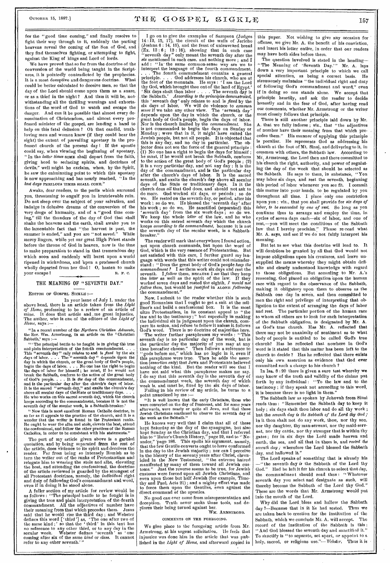for the "good time coming," and finally resolve to fight their way through to it, suddenly the parting heavens reveal the coming of the Son of God, and they find themselves fighting, or attempting to fight, against the King of kings and Lord of lords.

We have proved that so far from the doctrine of the conversion of the world being taught in the Scriptures, it is pointedly contradicted by the prophecies. It is a most deceptive and dangerons doctrine. could be better calculated to deceive men, so that the day of the Lord should come upon them as a snare, or as a thief in the night? And thus it will be, notwithstanding all the thrilling warnings and exhortations of the word of God to watch and escape the danger. And can it be possible that almost every denomination of Christendom, and almost every professed minister of the gospel, are lending a hand to help on this fatal delnsion ? Oh that candid, trnthloving men and women knew (if they could bear the sight) the extent of prevailing apostasy in the professed church of the present day I If the apostle could say, when viewing the beginning of apostasy, "In the *latter times* some shall depart from the faith, giving heed to seducing spirits, and doctrines of devils," well might he exclaim, when, by the Spirit, he saw the culminating point to which this apostasy is now approaching and has nearly reached, "In the last days PERILOUS TIMES SHALL COME."

Awake, dear readers, to the perils which surround yon, threatening to engulf you in irretrievable ruin. Do not sleep over the subject of your salvation, and indulge in delusive dreams of the conversion of the very dregs of humanity, and of a "good time coming," till the thunders of the day of God that shall shake the heavens and the earth, shall awake you to the lamentable fact that "the harvest is past, the summer is ended," and you are "not saved." While mercy lingers, while yet our great High Priest stands before the throne of God in heaven, now is the time to make preparation to stand in that tremendous day which soon and suddenly will burst upon a world ripened in wickedness, and 'upon a professed church wholly departed from her God I 0, hasten to make vour escape later and the second response in the second response of  $\mathbb{R}$ . F. C.

## THE MEANING OF "SEVENTH DAY."

#### EDITOR OF GOSPEL SICKLE :-

In your issue of July 1, under the above head, there is an article taken from the *Light of Home,* professing to be a review of an article of mine. It does that article and . me great injustice. The author, who is one of the editors of the *Light of home,* says :--

"In a recent number of the *Northern Ohristian Advocate,*  the Rev. Wm. Armstrong, in an article on the Christian Sabbath,' says :---

" The principal battle to be fought is in giving the true and plain interpretation of the fourth commandment. . . . This "seventh day" only relates to and is *fixed* by the six days of labor. . . . . The " seventh day " depends upon the day in which the chnrch, or the great body of God's people, begin the days of labor. . . . No one has the right to begin the days of labor for himself; he must, and is the particular day after the church's days of labor.<br>It is the sacred "seventh day," and exalts the church's day<br>above all secular days of the State or traditionary days....<br>He who works on this sacred seventh day, keeps according to the commandment, because it is not the seventh day of the secular week, is a Sabbath-breaker.'

" Now this is most excellent Roman Catholic doctrine, in so far as it appeals to the practice of the church, and it is a wonder that the writer is found in the Protestant ranks. Ile ought to wear the alba and stole, elevate the host, attend the confessional, and follow the other practices of the Roman Catholics, in order to be consistent with his statements."

The part of my article given above is a garbled quotation, and by being separated from the rest of the article, does violence to its spirit and deceives the reader. Far from being so intensely Romish as to turn the writer out of the ranks of Protestantism and relegate him to wearing the stole and alba, elevating the host, and attending the confessional, the doctrine of the article reviewed is guarded by the strongest of all Protestant doctrines, namely, the *individual* right and duty of following God's commandinent and word; even if in doing it he stood alone.

A fuller section of my article for review Would be as follows : "The principal battle to be fought is in giving the true and plain interpretation of the fourth commandment. All the adjectives of number have their meaning from that which precedes them. Jesus said that he would rise the third day ; and Webster defines this word ['third'] as, "The one after two of the same kind;' so that the 'third' in this text has no reference to any other third, or to any day in the secular week. Webster defines 'seventh' as 'one coming after six of the same *kind* or *class.* It cannot refer to any other seventh.'

I go on to give the examples of Sampson (Judges 14 :12, 15, 17), the circuit of the walls of Jericho (Joshua 6 : 14, 15), and the feast of unleavened bread (Ex. 13 : 6 ; 12 : 16); showing that in each case "seventh day" only meant the seventh day after the *six* mentioned in each case. and nothing more ; and I add : "In' the same common-sense way are we to

interpret the language of the fourth commandment. . . . The fourth commandment contains a general principle. . . . God addresses his church, who are at the foot of the mountain. He says : I am the Lord thy God, which brought thee out of the land of Egypt.'  $\text{Six days shaft than labor . . . . The seventh day is}$ the Sabbath.' *According to the principles demonstrated,*  this ' seventh day' only relates to and is *fund* by the six days of labor. We will do violence to *common sense* if we take any other view. The 'seventh day' depends upon the day in which the church, or the great body of God's people, begin the days of labor. Nor is the church limited by the *commandment.* She is not commanded to begin the days on Sunday or Monday ; were that in it, it might have suited the Jewish people, but not all people. It is objected that this is any day, and no day in particular. The objector does not see the force of the general principle : (1) No one has a right to begin the days for himself ; he must, if he would not break the Sabbath, conform to the action of the great body of God's people ; (2) it is a very particular day, and not any day ; it is the day of the commandment, and is the particular day after the church's days of labor. It is the sacred seventh, and exalts the church's day above all secular days of the State or traditionary days. In it the church does all that God does, and should not ask to do more. God worked six days, or periods ; so do we. He rested on the seventh day, or period, after his work '; so do we. He blessed the 'seventh day' after his work ; so do we, He sanctified (separated) this 'seventh day' from the six work-days ; so do we. We keep the whole *letter* of the law, and he who works on this sacred seventh day which the church keeps *according to the commandment,* because it is not the seventh day of the secular week, is a Sabbathbreaker."

The reader will mark that everywhere I found action, not upon church commands, but upon the word of God, which is the very essence of Protestantism. But not satisfied with this care, I further guard my language with words that this writer could not misunderstand : " Does the great body of God's people *keep the commandment ?* I *see* them work six days and rest the seventh. I *follow* them, BECAUSE I *see* that they keep the *letter* as well as the spirit of the law. If they worked seven days and rested the eighth, *I would not follOw them,* but would be *justified* in ALONE *following*  the commandment."

Now, I submit to the reader whether this is such good Romanism that I ought to get a suit at the milliner's and build a confessional box. It is the most ultra Protestantism, in its constant appeal to " the law and to the testimony ;" but especially in making the individual sit in judgment upon the church, compare its action, and refuse to follow it nuless it follows God's word. There is no doctrine of majorities here.

'The writer further paraphrases my words : "This seventh day is no particular day of the week, but is the particular day the majority of you may at any time hereafter choose." Then follows a reference to "gods before me," which has no logic in it, even if this paraphrase were true. Then he adds the assertion *(assertion only)* that Jews and Protestants believed nothing of the kind. But the reader will see that I have not said what this paraphrase makes me say. I do say that this seventh day is the seventh day of the commandment week, the seventh day of which week is, and must be, fixed by the six days of labor.

Failing in his review of my article, he turns to a point nunoticed by me :-

"It is well known that the early Christians, those who were converted on the day of Pentecost, and for some years afterwards, were nearly or quite all Jews, and that these Jewish Christians continued to observe the seventh day of the week as the Sabbath."

He knows very well that I claim that all of these kept Saturday as the day of the synagogue, but also kept Sunday as the Christian day, and that I referred him to " Ruter's Church History," page 29, and to " Neander," page 186. This spoils his argument, namely, that the few Gentile converts ought to have conformed in the day to the Jewish majority ; nor can I perceive in the history of the seventy years after Christ, chron-icled in the New Testament, " the extreme hatred manifested by many of them toward all Jewish customs." Just the reverse seems to be true, for Jewish customs were forced upon all Jewish Christians, and even upon those but half Jewish (for example, Timothy and Paul, Acts 21) ; and a mighty effort was made to force them upon the Gentiles, even against the direct command of the apostles.

No good can ever come from misrepresentation and Tinth never seeks these tools, and dedeception. Tinth never seeks these<br>plores their being turned against her.

### WM. ARMSTRONG. COMMENTS ON THE FOREGOING.

We give place to the foregoing article from Mr. Armstrong, at his urgent solicitation. He feels that injustice was done him in the article that was published in the *Light of Home,* and afterward copied in this paper. Not wishing to give any occasion for offense, we give Mr. A, the benefit of his conviction, and insert his letter entire, in order that our readers may have both sides before them.

The question involved is stated in the heading— " The Meaning of 'Seventh Day.'" Mr. A. lays down a very important principle to which we call special attention, as being a correct basis. He strenuonsly maintains " the individual right and duty of following God's commandment and word," even if in doing so one stands alone. We accept that principle heartily, and ask the reader to decide honestly and in the fear of God, after having read our comments, whether Mr. Armstrong or the writer most closely follows that principle.

There is still another principle laid down by Mr. A. that we fully indorse ; viz., that "the adjectives of number have their meaning from that which pre-His manner of applying this principle is peculiar. He represents God as addressing his church at the foot of Mt. Sinai, and delivering to it, in common with others, the Sabbath law. According to Mr., Armstrong, the Lord then and there committed to his church the right, authority, and power of regulating the day of the week that should be selected as the Sabbath. He says to them, in substance, "You may labor six days, and rest the seventh, beginning this period of labor whenever you see fit. I commit this matter into your hands. to be regulated by you throughont all time. I place only one restriction npon yon; viz., that you shall provide for *six days of labor, to be succeeded by one of rest.* So long as you continue thus to arrange and employ the time, in cycles of seven days each—six of labor, and one of rest,—you will meet the conditions of the Sabbath law that I hereby proclaim." Please re-read what Mr. A. says, and *see* if we do not fairly interpret his meaning.

But let us see what this doctrine will lead to. It will doubtless be granted by all that God would not impose obligations upon his creatures, and leave unsupplied the means whereby they might obtain definite and clearly understood knowledge with regard to those obligations. But according to Mr. A.'s reasoning, God placed an obligation upon the human race with regard to the observance of the Sabbath, making it obligatory upon -them to observe as the Sabbath one day in seven, and then committed to men the right and privilege of interpreting that obligation to the extent of arranging the days of labor and rest. The particular portion of the human race to whom all others are to look for such interpretation of the Sabbath obligation, is designated by Mr. A. as God's true church. Has Mr. A. reflected that there may not be unanimity of sentiment as to what body of people is entitled to be called God's true church? Has he reflected that nowhere in God's word is it stated that this matter has been left to the church to decide ? Has he reflected that there exists only his own assertion as evidence that God ever committed such a charge to his church ?

In Isa. 8:20 there is given a sure test whereby we may know of the truth and validity of the claims put forth by any individual : "To the law and to the testimony ; if they speak not according to this word, it is because there is no light in them.'

The Sabbath law as spoken by Jehovah from Sinai reads thus : "Remember the Sabbath day to keep it holy ; six days shalt thou labor and do all thy work ; but the *seventh day is the Sabbath of the Lord thy God;*  in it thou shalt not do any work, thou, nor thy son, nor thy daughter, thy man-servant, nor thy maid-servant, nor thy cattle, nor thy stranger that is within thy gates ; for in six days the Lord made heaven and earth, the sea, and all that in them is, and *rested the seventh day;* wherefore the Lord blessed the Sabbath day, and hallowed it."

The Lord speaks of something that is already his —" the seventh day *is* the Sabbath of the Lord thy Had he left it for his church to select that day, the commandment should read thus : "Whatever seventh day you select and designate as such, will thereby become the Sabbath of the Lord thy God." These are the words that Mr. Armstrong would put info the mouth of the Lord.

Why did the Lord bless and hallow the Sabbath day ?—Because that in it he had rested. Thus we are taken back to creation for the institution of the Sabbath, which we conclude Mr. A. will accept. The record of the institution of the Sabbath is this : "And God blessed the seventh day and sanctified it." To sanctify is "to separate, set apart, or appoint to a holy, sacred, or religions use."-- Webster, Thus it is holy, sacred, or religions use."-Webster.

**0.00 (1111••1011.N.Pli•**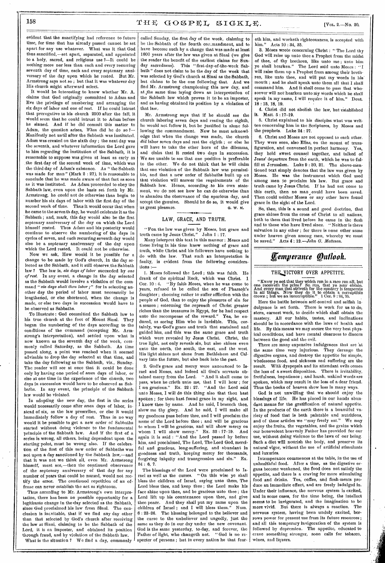evident that the sanctifying had reference to future time, for time that has already passed cannot be set apart for any use whatever. What was it that God thus sauctified,—set apart, separated, and appointed to a holy, sacred, and religious use ?—It could be nothing more nor less than each and every recurring seventh day of time, each and every septenary anniversary of the day upon which he rested. But Mr. Armstrong says not so ; but that it was whatever day His church might afterward select.

It would be interesting to know whether Mr. A. claims that God originally committed to Adam and Eve the privilege of numbering and arranging the six days of labor and one of rest. If he could intrust that prerogative to his church 2500 after the fall, it Would seem that he could intrust it to Adam before he sinned. And if he did commit this matter to Adam, the question arises, *When* did he do so ?— Manifestly not until after the Sabbath was instituted. Adam was created on the sixth day ; the next day was the seventh, and whatever information the Lord gave to him regarding the institution of the Sabbath, it is reasonable to suppose was given at least as early as .the first day of the second week of time, which was the third day of Adam's existence. As " the Sabbath was made for man" (Mark 2 : 27), it is reasonable to conclude that he was made aware of that fact as soon as it was instituted. As Adam proceeded to obey the Sabbath law, even upon the basis set forth by Mr. Armstrong, he could not do otherwise than begin to number his six days of labor with the first day of the second week of time. Thus it would occur that when he came to the seventh day, he would celebrate it as the Sabbath ; and, mark, this day would also be the first septenary anniversary of the day on which the Lord himself rested. Thus Adam and his posterity would continue to observe the numbering of the days in cycles of seven, and each recurring seventh day would also be a septenary anniversary of the day upon which the Lord rested. It could not be otherwise.

Now we ask, How would it be possible for a change to be made by God's church, in the day selected as the Sabbath, and it still observe, the Sabbath law ? The law is, *six days of labor* succeeded by *one of rest.* In any event, a change in the day selected as the Sabbath would involve a violation of the command *"six days shalt thou. labor;"* for in selecting another day the period of labor must necessarily be lengthened, or else shortened, when the change is made, or else two days in succession would have to be observed as Sabbaths.

To illustrate: God committed the Sabbath law to<br>is true church at the foot of Mount Sinai. They his true church at the foot of Mount Sinai. began the numbering of the days according to the conditions of the command (accepting Mr. Armstrong's interpretation), and settled upon what is now known as the seventh day of the week, commonly called Saturday, as the Sabbath. As time passed along, a point was reached when it seemed advisable to drop the day selected at that time, and take the day following as the Sabbath, viz., Sunday. The reader will see at once that it could be done only by having one period of *seven* days of labor, or else at one time in the experience of the church, two days in succession would have to be observed as Sabbaths. In any event, the principle of the Sabbath law would be violated.

In adopting the new day, the first in the series would necessarily come after *seven* days of labor, instead of six, as the law prescribes, or else it would immediately follow a day of rest. Thus in no way would it be possible to get a new order of Sabbaths started without doing violence to the fundamental principle of the Sabbath law. And if the first of a series is wrong, all others, being dependent upon the starting point, must be wrong also. If the celebration of the first of this new order of Sabbaths was not upon a day sanctioned by the Sabbath law,—and that it was not we think all, even Mr. Armstrong himself, must see,—then the continued observance of the septenary anniversary of that day for any number of years that could be named, would not rectify the error. The continued repetition of an offense can never establish the act as righteous.

Thus according to Mr. Armstrong's own interpretation, there has been no possible opportunity for a legitimate change in the 'day selected as the Sabbath, since God proclaimed his law from Sinai. The conclusion is incvitable, that if we find any day other than that selected by God's church after receiving the law at Sinai, claiming to be the Sabbath of the Lord, it is en imposter, and obtained its position through fraud, and by violation of the Sabbath law. What is the situation ? We find a day, commonly

called Sunday, the first day of the week, claiming to be the Sabbath of the fourth con.mandment, and to have become such by a change that was made at least 1600 years after the law was given at Sinai (we give the reader the benefit of the earliest claims for Sunday sacredness). This "first-day-of-the-week Sabbath" does not claim to be the day of the week that was selected by God's church at Sinai as the Sabbath, but claims to be the one following that. And we find Mr. Armstrong championing this new day, and at ,the same time laying down an interpretation of the Sabbath law which proves it to be an imposter, and as having obtained its position by a violation of that law..

Mr. Armstrong says that if he should see the church laboring seven days and resting the eighth, he would not follow it, but be justified in alone following the commandment. Now he must acknowledge that when the change was made, the church *did* labor seven days and rest the eighth ; or else he will have to take the other horn of the dilemma, and claim that it rested two days in succession. We are unable to see that one position is preferable to the other. We do not think that he will claim that one violation of the Sabbath law was permissible, and that a new order of Sabbaths built up on that violation will answer the requirements of Sabbath law. Hence, according .to his own statement, we do not see how he can do otherwise than to abandon the observance of the spurious day, and accept the genuine. Should he do so, it would give us great pleasure. **a. iv. u. d. w. M.** 

## LAW, GRACE, AND TRUTH.

"Fox the law was given by Moses, but grace and truth came by Jesus Christ."

Many interpret this text in this manner : Moses and those living in his time knew nothing of grace and truth, while Christ and his followers have nothing to do with the law. That such an interpretation is faulty, is evident from the following considerations :-

1. Moses followed the Lord ; this was faith. He drank of the spiritual Rock, which was Christ. 1 Cor. 10 : 4.  $\sqrt{B}$ y faith Moses, when he was come to years, refused to be called the son of Pharaoh's daughter ; choosing rather to suffer affliction with the people of God, than to enjoy the pleasures of sin for a season ; esteeming the -reproach of Christ greater riches than the treasures in Egypt, for he had respect unto the recompense of the reward." Yea, he endured, as seeing Him who is invisible. This, certainly, was. God's grace and truth that sustained and guided him, and this was the same grace and truth which were revealed by Jesus Christ. Christ, the true light, not only reveals sin, but also shines even unto the north, the south, the east, and the west. His light shines not alone from Bethlehem and Calvary into the future, but also back into the past.

2. God's grace and mercy were announced to Israel and Moses, and indeed all God's servants obtained mercy from the Lord. " And it shall come to pass, when he crieth unto me, that I will hear ; for I am gracious." Ex. 22 : 27. "And the Lord said unto Moses, I will do this thing also that thou hast spoken : for thou hast found grace in my sight, and I know thee by name. And he said, I beseech thee, show me thy glory. And he said, I will make all my goodness pass before thee, and I will proclaim the name of the Lord before thee ; and will be gracious to whom I will be gracious, and will show mercy on whom I will show mercy." Ex. 33 : 17-19. And again it is said : "And the Lord passed by before him, and proclaimed, The Lord, The Lord God, merciful and gracious, long-suffering, and abundant in goodness and truth, keeping mercy for thousands, forgiving iniquity and transgression and sin.' 34 : 6, 7.

The blessings of the Lord were proclaimed to Israel as well as the curses. "On this wise ye shall "On this wise ye shall bless the children of Israel, saying unto them, The Lord bless thee, and keep thee ; the Lord make his face shine upon thee, and be gracious unto thee ; the Lord lift up his countenance upon thee, and give thee peace. And they shall put my name upon the<br>children of Israel: and I will bless them." Num. children of Israel ; and I will bless them."<br> $6:28-26$ . The blessing belonged to the belief The blessing belonged to the believer and the curse to the unbeliever and ungodly, just the same as they do in our day under the new covenant. God is the same yesterday, to-day, and forever, the Father of light, who changeth not. " God is no respecter of persons ; but in every nation he that fear-

**......101.1.1taise.Weembasegulor 4.1411111.** 

eth him, and worketh righteousness, is accepted with him." Acts 10:34. 35. Acts 10 : 34, 35.

3. Moses wrote concerning Christ : " The Lord thy God will raise up unto thee a Prophet from the midst of thee, of thy brethren, like unto me ; unto him ye shall hearken." The Lord said unto Moses : "I will raise them up a Prophet from among their brethren, like unto thee, and will put my words in his. mouth ; and he shall speak unto them all that I shall command him. And it shall come to pass that whosoever will not hearken unto my words which he shall speak in my name, I will require it of him." Deut. 18 : 15, 18, 19.

4. Christ did not abolish the law, but' established it. Matt. 5 :17-19.

5. Christ explained to his disciples what was written concerning him in the Scriptures, by Moses and the prophets. Luke 24 : 27.

6. Christ and Moses are not opposed to each other. They were seen, also Elias, on the mount of transfiguration, and conversed in perfect harmony. Yea, they held sweet counsel together, and talked of Jesus' departure from the earth, which he was to fulfill at Jerusalem. Luke 9 : 30, 31. The above-mentioned text simply denotes that the law was given by Moses. He was the instrument which God used among men to proclaim his law. But grace and truth came by Jesus Christ. If he had not come to this earth, then no man could have been saved. Then could neither Moses or any other have found grace in the sight of the Lord.

So, then, this is a sound and good doctrine, that grace shines from the cross of Christ to all, nations, both to them that lived before he came in the flesh and to those who have lived since. " Neither is there salvation in any other ; for there is none other name under heaven given among men, whereby we must<br>be saved," Acts 4:12.—John G. Matteson. be saved." Acts 4.: *12.—John G. Matteson.* 

# *Eemperance &nook*

### THE VICTORY OVER APPETITE.

"Krrow ye not that they which run in a race run all, but one receiveth the prize? So run, that ye may obtain. And every man that strivoth for the mastery is temperate in all things. Now they do it to obtain a corruptible crown ; but we an incorruptible." 1 Cor. 9 : 24, 25.

Here the battle between self-control and selfish indulgence 'is set forth. There is work for us to do, stern, earnest work, to decide which shall obtain the mastery. All our habits, tastes, and inclinations should be in accordance with the laws of health and life. By this means we may secure the very best physical conditions,' and have mental clearness to discern between the good and the evil.

There are many expensive indulgences that are 'at the same time very injurious. They derange the digestive organs, and destroy the appetite for simple, wholesome food, and sickness and suffering are the result. With dyspepsia and its attendant evils comes the loss of a sweet disposition. There is irritability, fretfulness, impatience ; and harsh, unkind words are spoken, which may result in the loss of a dear friend. Thus the books of heaven show loss in many ways.

God is not unwilling that we should enjoy the blessings of life: He has placed in our hands abundant means for the gratification of natural appetite. In the products of the earth there is a bountiful variety of food that is both palatable and nutritious, and of these articles we "may freely eat." We may and of these articles we "may freely eat." enjoy the fruits, the vegetables, and the grains which our benevolent heavenly Father has provided for our use, without doing violence to the laws of our being. Such a diet will nourish the body, and preserve its natural vigor, without the use of artificial stimulants and luxuries.

Intemperance commences at the table, in the use of unhealthful food. After a time, as the digestive organs become weakened, the food does not satisfy the appetite, and there is a craving for more stimulating food and drinks. Tea, coffee, and flesh-meats produce an immediate effect, and are freely indulged in. Under their influence, the nervous system is excited, and in some cases, for the time being, the intellect seems to be invigorated, and the imagination to be more vivid. But there is always a reaction. The nervous system, having been unduly excited, borrows power for present use from its future resources; and all this temporary invigoration of the system is followed by depression. The appetite, educated to crave something stronger, soon calls for tobacco, wines, and liquors.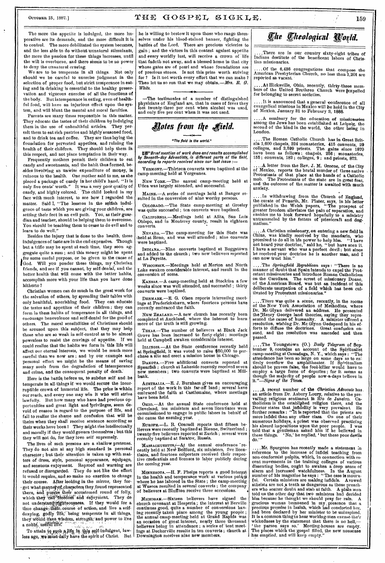# OCTOBER 15, 1887.]  $THE GOSPEL SIGKLE$ . 159

The more the appetite is indulged, the more imperative are its demands, and the more difficult it is to control. The more debilitated the system becomes, and the less able to do without unnatural stimulants, the more the passion for these things increases, until the will is overborne, and there seems to be no power to deny the unnatural craving.

We are to be temperate in all things. Not only should wo be careful to exercise judgment in the selection of proper food, but strict temperance in eating and in drinking is essential to the healthy preservation and vigorous exercise of all the functions of the body. But intemperance in eating, even of healthful food, will have an injurious effect upon the system, and will blunt the mental and moral faculties.

Parents are many times responsible in this matter. They educate the tastes of their children by indulging them in the use of unhealthful articles. They permit them to eat rich pastries and highly'seasoned food, and to drink tea and coffee. They are thus laying the foundation for perverted appetites, and ruining the health of their children. They should help them in this respect, and not place temptation in their way.

Frequently mothers permit their children to eat candy and sweetmeats, and the habit thus formed, besides involving an unwise expenditure of money, is ruinous to the health. One mother said to me, as she placed a package of candy in her child's hand, "It is only five cents' worth." It was a very poor quality of candy, and highly colored. The child looked in my face with much interest, to see how I regarded the matter. Said I, "The lessons in the selfish indulgence of taste which you are giving your children, are setting their feet in an evil path. You, as their guardian and teacher, should be helping them to overcome. You should be teaching them to cease to do evil and to learn to do well."

Besides the injury that is done to the health, these indulgences of taste are in the end expensive. Though but a trifle may be spent at each time, they soon aggregate quite a sum ; and this money might be spent for some useful purpose, or be given to the cause of God. Will you ponder these things, my Christian for some useful purpose, or be given to the cause of friends, and see if you cannot, by self-denial, and the better health that will come with the better habits, accomplish more with your life than you have done hitherto ?

Christian women can do much in the great work for the salvation of others, by spreading their tables with only healthful, nourishing food. They can educate the tastes and appetites of their children ; they can form in them habits of temperance in all things, and encourage benevolence and self-denial for the good of others. The moral sensibilities of Christians should be aroused upon this subject, that they may help those who are so weak in self-control as to be almost powerless to resist the cravings of appetite. If we could realize that the habits we form in this life will affect our eternal interests, we would be much more careful than we now are; and by our example and personal effort we might be the means of saving many souls from the degradation of intemperance and crime, and the consequent penalty of death.

Here is the battle before us, to subdue self and be temperate in all things if we would secure the incorruptible crown of immortal life. The prize is Within our reach, and every one may win it who will strive lawfully. But how many who have had precious opportunities and great light and privileges, seem devoid of reason in regard to the purpose of life, and fail to realize the shame and confusion that will be theirs when they shall receive sentence according as their works have been! They might rise intellectually and morally if they would govern themselves; but this they will not do, for they love self supremely.

The lives of such persons are a shallow pretense. They do not aim at any high standard in personal charaeter ; but their attention is taken up with matters of dress, style, personal appearance, equipage, and sensuous enjoyment. Reproof and warning are refused or, tlisregarded. They do not, like the effort it would require,, and so make no exertion, to change their course. After looking in the mirror, they for- · get what manner of characters they found represented there, and pursue their accustomed round of folly, which they call freedom and enjoyment. They do not understand righteousness. If they would for a time change their course of action, and live a selfdenying, godly life, being temperate in all things, they WOW -14%0 Wisdom, stiiengthrand power to live a noblO, 'usgtliqfe'.` ' ' ' • • •

a noble, useful life. The state of the state of the state of the state of the state of the state of the state of the state of the state of the state of the state of the state of the state of the state of the state of the s less age, we must daily have the spirit of Christ. But

•

he is willing to bestow it upon those who range themselves under his blood-stained banner, fighting the battles of the Lord. There are precious victories to gain ; and the victors in this contest against appetite and every worldly lust, will receive a crown of life that fadeth not away, and a blessed home in that city whose gates are of pearl and whose foundations are of precious stones. Is not this prize worth striving for ? Is it not worth every effort that we can make ? Then let us so run that we may obtain.—Mrs. E.  $G$ . White,

—The testimonies of a number of distinguished physicians of England are, that in cases of fever they lost twenty-three per cent when alcohol was used, and only five per cent when it was not used.

# *gales from file 4ield.*

### "The field is the world."

**that "Brief mention of work done and results accomplished** by Seventh-day Adventists, in different parts of the field, according to reports received since our last issue :—

VERMONT.—Thirteen converts were baptized at the camp-meeting held at Vergennes.

NEW YORK.-The annual camp-meeting held at Utica was largely attended, and successful.

-A series of meetings held at Bangor resulted in the conversion of nine worthy persons.

COLORADO.—The State camp-meeting at Greeley was quite successful ; ten converts were baptized.

CALIFORNIA.—Meetings held at Alita, San Luis<br>Obispo, and in Monterey county, result in eighteen converts.

NEVADA. —The camp-meeting for this State was held at Reno, and was well attnded ; nine converts were baptized.

INDIANA.—Nine converts baptized at Boggstown and added to the church ; two new believers reported at La Fayette.

WISCONSIN.—Meetings held at Merton and North Lake awaken considerable Interest, and result in the conversion of some.

KANSAS.—A camp-meeting held at Stockton a few weeks since was well attended, and successful ; thirty converts were baptized.

DENMARE.—E. G. Olsen reports interesting meetings at Frederickshavn, where fourteen persons have recently embraced the faith.

NEw ZEALAND.—A new church has recently been completed at Auckland, where the interest to learn more of the truth is still growing.

TEXAS.—The number of believers at Black Jack Grove has been increased to forty-eight ; meetings held at Campbell awaken considerable interest.

ILLINOIS. —At the State conference recently held at Springfield, it was voted to raise \$50,000 to purchase a site and erect a mission house in Chicago.

DAROTA.—Five additional converts reported at Spearfish ; church at Lakeside recently received seven members; two converts were baptized at Millbank.

AUSTRALIA,—E. J. Burnham gives an encouraging, report of the work in this far-off land ; several have embraced the faith at Castlemaine, where meetings have been held.

OHIO.-At the annual State conference held at Cleveland, ten ministers and seven licentiates were commissioned to engage in public labors in behalf of the cause the ensuing year.

Eunopm—L. R. Conradi reports that fifteen believers were recently baptized at Dionne, Switzerland ; twenty-five believers reported at Zurich ; several were recently baptized at Saratov, Russia.

MASSACHUSETTS. At the annual conference recently held at New Bedford, six ministers, five licentiates, and fourteen colporters received their respective credentials and licenses to labor publicly during the coming year.

MINNESOTA.—H. F. Phelps reports a good interest in the health and temperance work; at various points where he has labored in the State ; the camp-meeting at Waseca resulted in several converts ; the company of believers at Bluffton receive three accessions. •

MIOIIIGAW.—Sixteen believers have signed the church covenant at Hesperia ; the interest at Berville continues good, quite a number of conversions having recently taken place among the young people ; the annual camp-meeting held at Grand Rapids was an occasion of great interest, nearly three thousand believers being in attendance ; a series of 'tent meetings at Deckerville results in ten converts ; church at Downington receives nine new members.

# *he flteological*

, ,There are in our country sixty-eight tribes of Indians destitute of the beneficent labors of Christian missionaries.

....Of the 6,436 congregations that compose the American Presbyterian Church, no less than 1;201 are reported as vacant.

..At Hicksville, Ohio, recently, thirty-three members of the United Brethren Church were lexpelled for belonging to secret societies.

....It is announced that a general conference of all evangelical missions in Mexico will be held in the City of Mexico, January 31 to February 3, 1888.

....A seminary for the education of missionaries among the Jews has been established at Leipzig, the second of the kind in the world, the other being in London.

The Roman Catholic Church has in Great Britain 1,600 chapels, 224 monasteries,, 415 convents, 29 colleges, and 2,599 priests. The gains since 1870 have been as follows : chapels, 256 ; monasteries, 155 ; convents, 182 ; colleges, 9 ; and priests, 872.

A letter from the Rev. J. M. Greene, of the City of Mexico, reports the brutal murder of three native Protestants of that place at the hands of a Catholic mob, The Protestants of the state are in great fear, and the outcome of the matter is awaited with much anxiety.

..In withdrawing from the Church of England, the curate of Penarth, Mr. Plater, says, in his letter published in the Welsh papers, "The prospect of greater freedom alleviates the pain of separation, and enables me to look forward hopefully to a ministry untrammeled by the fetters of priesteraft and dog-matism."

....A Christian missionary, on entering a new field in China, was kindly received by' the mandarin, who promised to do all in his power to help him. "I have not heard your doctrine," said he, "but have seen it. I have a servant who was a perfect devil ; but since he received your doctrine he is another man, and I can now trust him."

...The *Springfield Republican* says: "There is no manner of doubt that Spain intends to expel the Prot-estant missionaries and introduce Roman Catholicism on the Carolines. The arrest of missionary Doane, of the American Board, was but an incident of this deliberate usurpation of a field which has been cultivated by Protestant missionaries."

,There was quite a scene, recently, in the rooms Of the New York Association of Methodists, where Dr. Mc Glynn delivered an address. He presented the Henry George land theories, saying they represented the cause of humanity. A minister offered a resolution, wishing Dr. Mc Glynn Gedspeed in his efforts to diffuse the doctrines. Great confusion ensued, and the resolution was amended and then passed.

...The Youngstown (O.) Daily Telegram of September 9, contains an account of the Spiritualist camp-meeting at Cassadaga, N. Y., which says: "The attendance has been so large on some days as to enlinely overflow the amplituation. If Spiritualism should be proven false, the fool-killer would have to employ a large fo though the majority of people now-a-days believe in it."---Signs of the Times.

....A recent number of the *Christian Advocate* has. an article from Dr. Asbury Loury, relative to the pre-vailing, religious sentiment in Rio de Janeiro. Catholicism is the established religion there, and the Doctor states that infidelity is very prevalent. He further remarks : "It is reported that the priests are more infidel than any other class. On one of theirnumerous holidays, a priest was observed practicing his absurd impositions upon the poor people. I was told that a gentleman asked him if he believed in these things. 'No,' he replied, ' but these poor devils these things.<br>do.'"

....Mr. Spurgeon has recently made a statement :n reference to the increase of infidel teaching from non-conformist pulpits, which, in connection with recent movements in the training colleges of various dissenting bodies, ought to awaken a deep sense of alarm and increased watchfulness. In the August number of his magazine he says : "The case is mourn-ful. Certain ministers are making infidels. Avowed atheists are not ,a tenth as dangerous as those preachers who scatter doubt and stab at faith. A plain man told us the other day that two ministers had derided him because he thought we should pray for rain. A gracious woman bemoaned in my presence that a precious promise in Isaiah, which had comforted her, had been declared by her minister to be uninspired. It is a common thing to hear working-men excuse the'r wickedness by the statement that there is no hell,---' the parson says so.' Meeting-houses are empty. The places which the gospel filled, the new nonsense has emptied, and will keep empty."